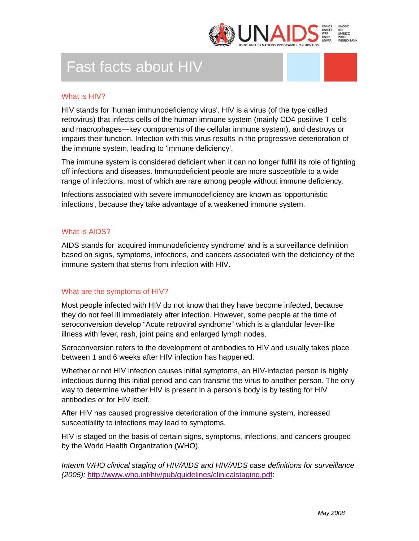

# Fast facts about HIV

### What is HIV?

HIV stands for 'human immunodeficiency virus'. HIV is a virus (of the type called retrovirus) that infects cells of the human immune system (mainly CD4 positive T cells and macrophages—key components of the cellular immune system), and destroys or impairs their function. Infection with this virus results in the progressive deterioration of the immune system, leading to 'immune deficiency'.

The immune system is considered deficient when it can no longer fulfill its role of fighting off infections and diseases. Immunodeficient people are more susceptible to a wide range of infections, most of which are rare among people without immune deficiency.

Infections associated with severe immunodeficiency are known as 'opportunistic infections', because they take advantage of a weakened immune system.

#### What is AIDS?

AIDS stands for 'acquired immunodeficiency syndrome' and is a surveillance definition based on signs, symptoms, infections, and cancers associated with the deficiency of the immune system that stems from infection with HIV.

#### What are the symptoms of HIV?

Most people infected with HIV do not know that they have become infected, because they do not feel ill immediately after infection. However, some people at the time of seroconversion develop "Acute retroviral syndrome" which is a glandular fever-like illness with fever, rash, joint pains and enlarged lymph nodes.

Seroconversion refers to the development of antibodies to HIV and usually takes place between 1 and 6 weeks after HIV infection has happened.

Whether or not HIV infection causes initial symptoms, an HIV-infected person is highly infectious during this initial period and can transmit the virus to another person. The only way to determine whether HIV is present in a person's body is by testing for HIV antibodies or for HIV itself.

After HIV has caused progressive deterioration of the immune system, increased susceptibility to infections may lead to symptoms.

HIV is staged on the basis of certain signs, symptoms, infections, and cancers grouped by the World Health Organization (WHO).

*Interim WHO clinical staging of HIV/AIDS and HIV/AIDS case definitions for surveillance (2005):* http://www.who.int/hiv/pub/guidelines/clinicalstaging.pdf: